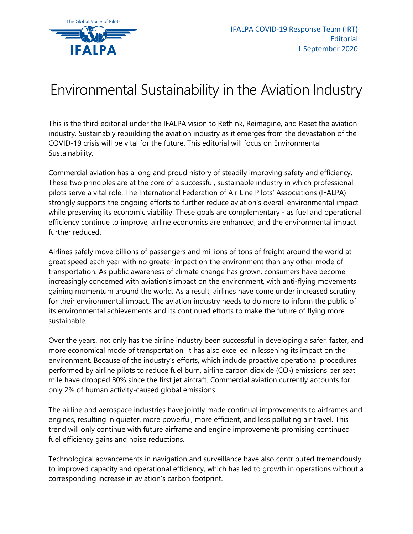

## Environmental Sustainability in the Aviation Industry

This is the third editorial under the IFALPA vision to Rethink, Reimagine, and Reset the aviation industry. Sustainably rebuilding the aviation industry as it emerges from the devastation of the COVID-19 crisis will be vital for the future. This editorial will focus on Environmental Sustainability.

Commercial aviation has a long and proud history of steadily improving safety and efficiency. These two principles are at the core of a successful, sustainable industry in which professional pilots serve a vital role. The International Federation of Air Line Pilots' Associations (IFALPA) strongly supports the ongoing efforts to further reduce aviation's overall environmental impact while preserving its economic viability. These goals are complementary - as fuel and operational efficiency continue to improve, airline economics are enhanced, and the environmental impact further reduced.

Airlines safely move billions of passengers and millions of tons of freight around the world at great speed each year with no greater impact on the environment than any other mode of transportation. As public awareness of climate change has grown, consumers have become increasingly concerned with aviation's impact on the environment, with anti-flying movements gaining momentum around the world. As a result, airlines have come under increased scrutiny for their environmental impact. The aviation industry needs to do more to inform the public of its environmental achievements and its continued efforts to make the future of flying more sustainable.

Over the years, not only has the airline industry been successful in developing a safer, faster, and more economical mode of transportation, it has also excelled in lessening its impact on the environment. Because of the industry's efforts, which include proactive operational procedures performed by airline pilots to reduce fuel burn, airline carbon dioxide  $(CO<sub>2</sub>)$  emissions per seat mile have dropped 80% since the first jet aircraft. Commercial aviation currently accounts for only 2% of human activity-caused global emissions.

The airline and aerospace industries have jointly made continual improvements to airframes and engines, resulting in quieter, more powerful, more efficient, and less polluting air travel. This trend will only continue with future airframe and engine improvements promising continued fuel efficiency gains and noise reductions.

Technological advancements in navigation and surveillance have also contributed tremendously to improved capacity and operational efficiency, which has led to growth in operations without a corresponding increase in aviation's carbon footprint.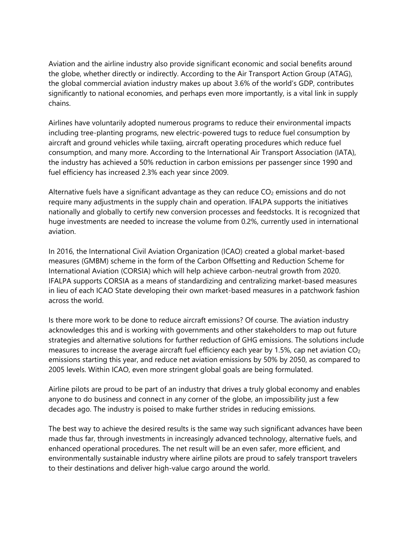Aviation and the airline industry also provide significant economic and social benefits around the globe, whether directly or indirectly. According to the Air Transport Action Group (ATAG), the global commercial aviation industry makes up about 3.6% of the world's GDP, contributes significantly to national economies, and perhaps even more importantly, is a vital link in supply chains.

Airlines have voluntarily adopted numerous programs to reduce their environmental impacts including tree-planting programs, new electric-powered tugs to reduce fuel consumption by aircraft and ground vehicles while taxiing, aircraft operating procedures which reduce fuel consumption, and many more. According to the International Air Transport Association (IATA), the industry has achieved a 50% reduction in carbon emissions per passenger since 1990 and fuel efficiency has increased 2.3% each year since 2009.

Alternative fuels have a significant advantage as they can reduce  $CO<sub>2</sub>$  emissions and do not require many adjustments in the supply chain and operation. IFALPA supports the initiatives nationally and globally to certify new conversion processes and feedstocks. It is recognized that huge investments are needed to increase the volume from 0.2%, currently used in international aviation.

In 2016, the International Civil Aviation Organization (ICAO) created a global market-based measures (GMBM) scheme in the form of the Carbon Offsetting and Reduction Scheme for International Aviation (CORSIA) which will help achieve carbon-neutral growth from 2020. IFALPA supports CORSIA as a means of standardizing and centralizing market-based measures in lieu of each ICAO State developing their own market-based measures in a patchwork fashion across the world.

Is there more work to be done to reduce aircraft emissions? Of course. The aviation industry acknowledges this and is working with governments and other stakeholders to map out future strategies and alternative solutions for further reduction of GHG emissions. The solutions include measures to increase the average aircraft fuel efficiency each year by 1.5%, cap net aviation  $CO<sub>2</sub>$ emissions starting this year, and reduce net aviation emissions by 50% by 2050, as compared to 2005 levels. Within ICAO, even more stringent global goals are being formulated.

Airline pilots are proud to be part of an industry that drives a truly global economy and enables anyone to do business and connect in any corner of the globe, an impossibility just a few decades ago. The industry is poised to make further strides in reducing emissions.

The best way to achieve the desired results is the same way such significant advances have been made thus far, through investments in increasingly advanced technology, alternative fuels, and enhanced operational procedures. The net result will be an even safer, more efficient, and environmentally sustainable industry where airline pilots are proud to safely transport travelers to their destinations and deliver high-value cargo around the world.